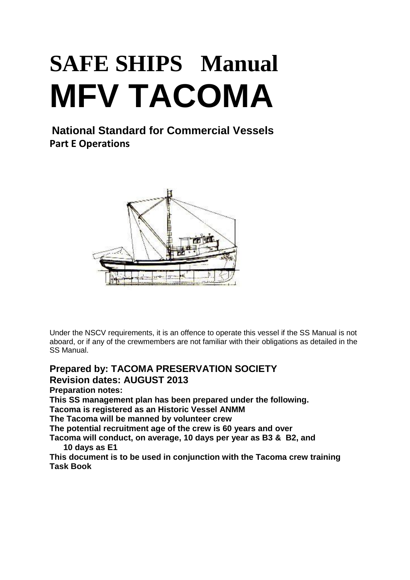# **SAFE SHIPS Manual MFV TACOMA**

**National Standard for Commercial Vessels Part E Operations**



Under the NSCV requirements, it is an offence to operate this vessel if the SS Manual is not aboard, or if any of the crewmembers are not familiar with their obligations as detailed in the SS Manual.

# **Prepared by: TACOMA PRESERVATION SOCIETY Revision dates: AUGUST 2013**

**Preparation notes:**

**This SS management plan has been prepared under the following.**

**Tacoma is registered as an Historic Vessel ANMM**

**The Tacoma will be manned by volunteer crew** 

**The potential recruitment age of the crew is 60 years and over**

**Tacoma will conduct, on average, 10 days per year as B3 & B2, and 10 days as E1**

**This document is to be used in conjunction with the Tacoma crew training Task Book**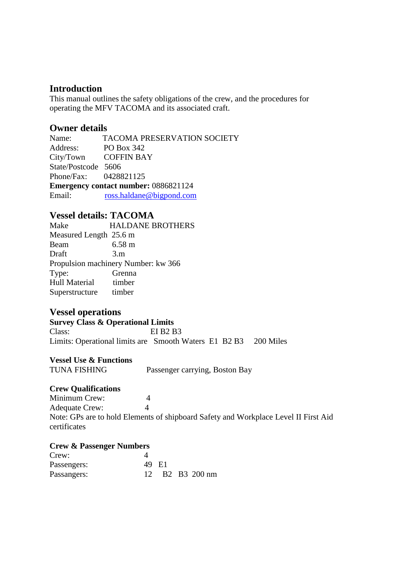#### **Introduction**

This manual outlines the safety obligations of the crew, and the procedures for operating the MFV TACOMA and its associated craft.

#### **Owner details**

Name: TACOMA PRESERVATION SOCIETY Address: PO Box 342 City/Town COFFIN BAY State/Postcode 5606 Phone/Fax: 0428821125 **Emergency contact number:** 0886821124 Email: [ross.haldane@bigpond.com](mailto:ross.haldane@bigpond.com)

#### **Vessel details: TACOMA**

Make HALDANE BROTHERS Measured Length 25.6 m Beam 6.58 m Draft 3.m Propulsion machinery Number: kw 366 Type: Grenna Hull Material timber Superstructure timber

#### **Vessel operations**

#### **Survey Class & Operational Limits**

Class: EI B2 B3 Limits: Operational limits are Smooth Waters E1 B2 B3 200 Miles

#### **Vessel Use & Functions**

TUNA FISHING Passenger carrying, Boston Bay

#### **Crew Qualifications**

Minimum Crew: 4 Adequate Crew: 4 Note: GPs are to hold Elements of shipboard Safety and Workplace Level II First Aid certificates

#### **Crew & Passenger Numbers**

| Crew:       |       |  |                 |
|-------------|-------|--|-----------------|
| Passengers: | 49 E1 |  |                 |
| Passangers: |       |  | 12 B2 B3 200 nm |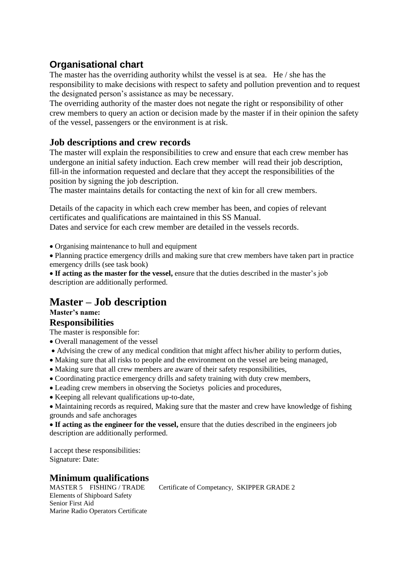# **Organisational chart**

The master has the overriding authority whilst the vessel is at sea. He / she has the responsibility to make decisions with respect to safety and pollution prevention and to request the designated person's assistance as may be necessary.

The overriding authority of the master does not negate the right or responsibility of other crew members to query an action or decision made by the master if in their opinion the safety of the vessel, passengers or the environment is at risk.

### **Job descriptions and crew records**

The master will explain the responsibilities to crew and ensure that each crew member has undergone an initial safety induction. Each crew member will read their job description, fill-in the information requested and declare that they accept the responsibilities of the position by signing the job description.

The master maintains details for contacting the next of kin for all crew members.

Details of the capacity in which each crew member has been, and copies of relevant certificates and qualifications are maintained in this SS Manual.

Dates and service for each crew member are detailed in the vessels records.

Organising maintenance to hull and equipment

Planning practice emergency drills and making sure that crew members have taken part in practice emergency drills (see task book)

**If acting as the master for the vessel,** ensure that the duties described in the master's job description are additionally performed.

# **Master – Job description**

# **Master's name:**

#### **Responsibilities**

The master is responsible for:

- Overall management of the vessel
- Advising the crew of any medical condition that might affect his/her ability to perform duties,
- Making sure that all risks to people and the environment on the vessel are being managed,
- Making sure that all crew members are aware of their safety responsibilities,
- Coordinating practice emergency drills and safety training with duty crew members,
- Leading crew members in observing the Societys policies and procedures,
- Keeping all relevant qualifications up-to-date,

• Maintaining records as required, Making sure that the master and crew have knowledge of fishing grounds and safe anchorages

**If acting as the engineer for the vessel,** ensure that the duties described in the engineers job description are additionally performed.

I accept these responsibilities: Signature: Date:

# **Minimum qualifications**<br>MASTER 5 FISHING/TRADE

Elements of Shipboard Safety Senior First Aid Marine Radio Operators Certificate Certificate of Competancy, SKIPPER GRADE 2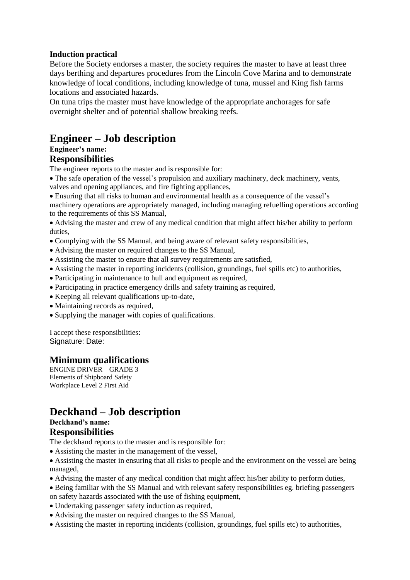#### **Induction practical**

Before the Society endorses a master, the society requires the master to have at least three days berthing and departures procedures from the Lincoln Cove Marina and to demonstrate knowledge of local conditions, including knowledge of tuna, mussel and King fish farms locations and associated hazards.

On tuna trips the master must have knowledge of the appropriate anchorages for safe overnight shelter and of potential shallow breaking reefs.

# **Engineer – Job description**

#### **Engineer's name: Responsibilities**

The engineer reports to the master and is responsible for:

The safe operation of the vessel's propulsion and auxiliary machinery, deck machinery, vents, valves and opening appliances, and fire fighting appliances,

Ensuring that all risks to human and environmental health as a consequence of the vessel's machinery operations are appropriately managed, including managing refuelling operations according to the requirements of this SS Manual,

Advising the master and crew of any medical condition that might affect his/her ability to perform duties,

- Complying with the SS Manual, and being aware of relevant safety responsibilities,
- Advising the master on required changes to the SS Manual,
- Assisting the master to ensure that all survey requirements are satisfied,
- Assisting the master in reporting incidents (collision, groundings, fuel spills etc) to authorities,
- Participating in maintenance to hull and equipment as required,
- Participating in practice emergency drills and safety training as required,
- Keeping all relevant qualifications up-to-date,
- Maintaining records as required.
- Supplying the manager with copies of qualifications.

I accept these responsibilities: Signature: Date:

#### **Minimum qualifications**

ENGINE DRIVER GRADE 3 Elements of Shipboard Safety Workplace Level 2 First Aid

# **Deckhand – Job description**

### **Deckhand's name:**

#### **Responsibilities**

The deckhand reports to the master and is responsible for:

Assisting the master in the management of the vessel,

Assisting the master in ensuring that all risks to people and the environment on the vessel are being managed,

- Advising the master of any medical condition that might affect his/her ability to perform duties,
- Being familiar with the SS Manual and with relevant safety responsibilities eg. briefing passengers on safety hazards associated with the use of fishing equipment,
- Undertaking passenger safety induction as required,
- Advising the master on required changes to the SS Manual,
- Assisting the master in reporting incidents (collision, groundings, fuel spills etc) to authorities,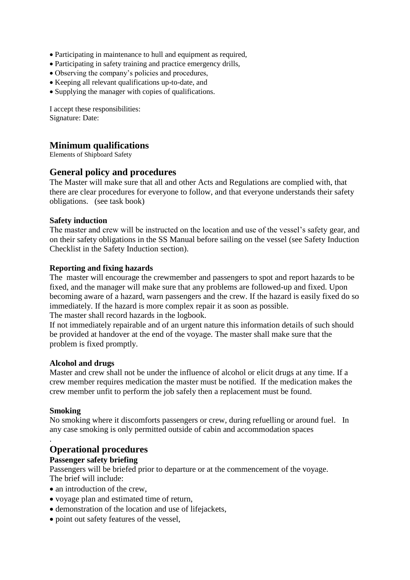- Participating in maintenance to hull and equipment as required,
- Participating in safety training and practice emergency drills,
- Observing the company's policies and procedures,
- Keeping all relevant qualifications up-to-date, and
- Supplying the manager with copies of qualifications.

I accept these responsibilities: Signature: Date:

#### **Minimum qualifications**

Elements of Shipboard Safety

#### **General policy and procedures**

The Master will make sure that all and other Acts and Regulations are complied with, that there are clear procedures for everyone to follow, and that everyone understands their safety obligations. (see task book)

#### **Safety induction**

The master and crew will be instructed on the location and use of the vessel's safety gear, and on their safety obligations in the SS Manual before sailing on the vessel (see Safety Induction Checklist in the Safety Induction section).

#### **Reporting and fixing hazards**

The master will encourage the crewmember and passengers to spot and report hazards to be fixed, and the manager will make sure that any problems are followed-up and fixed. Upon becoming aware of a hazard, warn passengers and the crew. If the hazard is easily fixed do so immediately. If the hazard is more complex repair it as soon as possible.

The master shall record hazards in the logbook.

If not immediately repairable and of an urgent nature this information details of such should be provided at handover at the end of the voyage. The master shall make sure that the problem is fixed promptly.

#### **Alcohol and drugs**

Master and crew shall not be under the influence of alcohol or elicit drugs at any time. If a crew member requires medication the master must be notified. If the medication makes the crew member unfit to perform the job safely then a replacement must be found.

#### **Smoking**

.

No smoking where it discomforts passengers or crew, during refuelling or around fuel. In any case smoking is only permitted outside of cabin and accommodation spaces

#### **Operational procedures**

#### **Passenger safety briefing**

Passengers will be briefed prior to departure or at the commencement of the voyage. The brief will include:

- an introduction of the crew,
- voyage plan and estimated time of return,
- demonstration of the location and use of lifejackets,
- point out safety features of the vessel,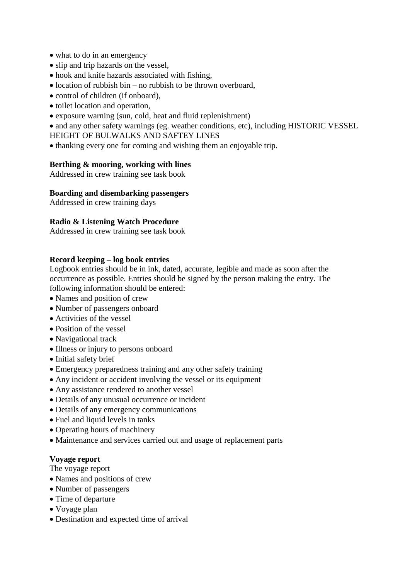- what to do in an emergency
- slip and trip hazards on the vessel,
- hook and knife hazards associated with fishing,
- $\bullet$  location of rubbish bin no rubbish to be thrown overboard,
- control of children (if onboard),
- toilet location and operation,
- exposure warning (sun, cold, heat and fluid replenishment)

• and any other safety warnings (eg. weather conditions, etc), including HISTORIC VESSEL HEIGHT OF BULWALKS AND SAFTEY LINES

• thanking every one for coming and wishing them an enjoyable trip.

#### **Berthing & mooring, working with lines**

Addressed in crew training see task book

#### **Boarding and disembarking passengers**

Addressed in crew training days

#### **Radio & Listening Watch Procedure**

Addressed in crew training see task book

#### **Record keeping – log book entries**

Logbook entries should be in ink, dated, accurate, legible and made as soon after the occurrence as possible. Entries should be signed by the person making the entry. The following information should be entered:

- Names and position of crew
- Number of passengers onboard
- Activities of the vessel
- Position of the vessel
- Navigational track
- Illness or injury to persons onboard
- Initial safety brief
- Emergency preparedness training and any other safety training
- Any incident or accident involving the vessel or its equipment
- Any assistance rendered to another vessel
- Details of any unusual occurrence or incident
- Details of any emergency communications
- Fuel and liquid levels in tanks
- Operating hours of machinery
- Maintenance and services carried out and usage of replacement parts

#### **Voyage report**

The voyage report

- Names and positions of crew
- Number of passengers
- Time of departure
- Voyage plan
- Destination and expected time of arrival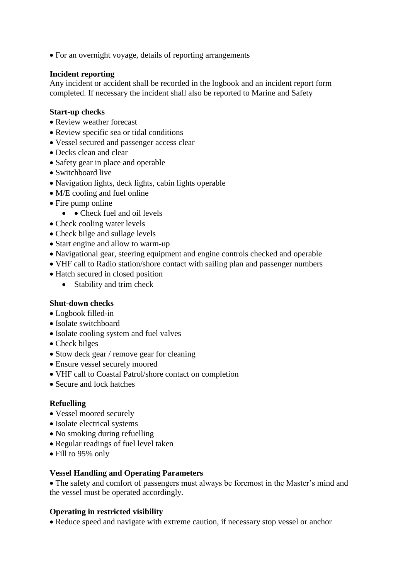• For an overnight voyage, details of reporting arrangements

#### **Incident reporting**

Any incident or accident shall be recorded in the logbook and an incident report form completed. If necessary the incident shall also be reported to Marine and Safety

#### **Start-up checks**

- Review weather forecast
- Review specific sea or tidal conditions
- Vessel secured and passenger access clear
- Decks clean and clear
- Safety gear in place and operable
- Switchboard live
- Navigation lights, deck lights, cabin lights operable
- M/E cooling and fuel online
- Fire pump online
	- Check fuel and oil levels
- Check cooling water levels
- Check bilge and sullage levels
- Start engine and allow to warm-up
- Navigational gear, steering equipment and engine controls checked and operable
- VHF call to Radio station/shore contact with sailing plan and passenger numbers
- Hatch secured in closed position
	- Stability and trim check

#### **Shut-down checks**

- Logbook filled-in
- Isolate switchboard
- Isolate cooling system and fuel valves
- Check bilges
- Stow deck gear / remove gear for cleaning
- Ensure vessel securely moored
- VHF call to Coastal Patrol/shore contact on completion
- Secure and lock hatches

#### **Refuelling**

- Vessel moored securely
- Isolate electrical systems
- No smoking during refuelling
- Regular readings of fuel level taken
- Fill to 95% only

#### **Vessel Handling and Operating Parameters**

The safety and comfort of passengers must always be foremost in the Master's mind and the vessel must be operated accordingly.

#### **Operating in restricted visibility**

• Reduce speed and navigate with extreme caution, if necessary stop vessel or anchor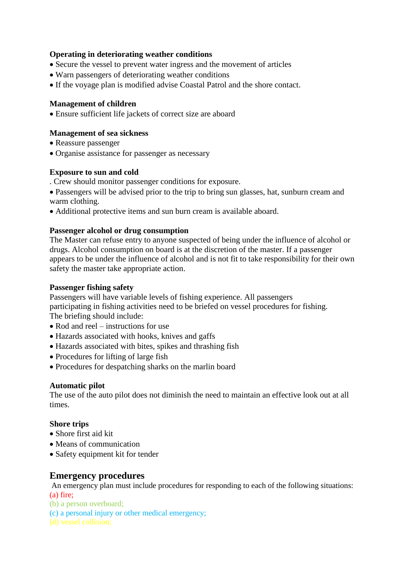#### **Operating in deteriorating weather conditions**

- Secure the vessel to prevent water ingress and the movement of articles
- Warn passengers of deteriorating weather conditions
- If the voyage plan is modified advise Coastal Patrol and the shore contact.

#### **Management of children**

Ensure sufficient life jackets of correct size are aboard

#### **Management of sea sickness**

- Reassure passenger
- Organise assistance for passenger as necessary

#### **Exposure to sun and cold**

- . Crew should monitor passenger conditions for exposure.
- Passengers will be advised prior to the trip to bring sun glasses, hat, sunburn cream and warm clothing.
- Additional protective items and sun burn cream is available aboard.

#### **Passenger alcohol or drug consumption**

The Master can refuse entry to anyone suspected of being under the influence of alcohol or drugs. Alcohol consumption on board is at the discretion of the master. If a passenger appears to be under the influence of alcohol and is not fit to take responsibility for their own safety the master take appropriate action.

#### **Passenger fishing safety**

Passengers will have variable levels of fishing experience. All passengers participating in fishing activities need to be briefed on vessel procedures for fishing. The briefing should include:

- Rod and reel instructions for use
- Hazards associated with hooks, knives and gaffs
- Hazards associated with bites, spikes and thrashing fish
- Procedures for lifting of large fish
- Procedures for despatching sharks on the marlin board

#### **Automatic pilot**

The use of the auto pilot does not diminish the need to maintain an effective look out at all times.

#### **Shore trips**

- Shore first aid kit
- Means of communication
- Safety equipment kit for tender

#### **Emergency procedures**

An emergency plan must include procedures for responding to each of the following situations:

- (a) fire;
- (b) a person overboard;
- (c) a personal injury or other medical emergency;
-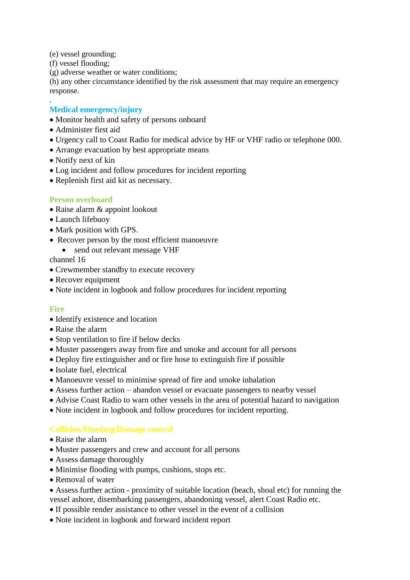- (e) vessel grounding;
- (f) vessel flooding;

.

(g) adverse weather or water conditions;

(h) any other circumstance identified by the risk assessment that may require an emergency response.

#### **Medical emergency/injury**

- Monitor health and safety of persons onboard
- Administer first aid
- Urgency call to Coast Radio for medical advice by HF or VHF radio or telephone 000.
- Arrange evacuation by best appropriate means
- Notify next of kin
- Log incident and follow procedures for incident reporting
- Replenish first aid kit as necessary.

#### **Person overboard**

- Raise alarm & appoint lookout
- Launch lifebuoy
- Mark position with GPS.
- Recover person by the most efficient manoeuvre
	- send out relevant message VHF

channel 16

- Crewmember standby to execute recovery
- Recover equipment
- Note incident in logbook and follow procedures for incident reporting

#### **Fire**

- Identify existence and location
- Raise the alarm
- Stop ventilation to fire if below decks
- Muster passengers away from fire and smoke and account for all persons
- Deploy fire extinguisher and or fire hose to extinguish fire if possible
- Isolate fuel, electrical
- Manoeuvre vessel to minimise spread of fire and smoke inhalation
- Assess further action abandon vessel or evacuate passengers to nearby vessel
- Advise Coast Radio to warn other vessels in the area of potential hazard to navigation
- Note incident in logbook and follow procedures for incident reporting.

#### **Collision/Flooding/Damage control**

- Raise the alarm
- Muster passengers and crew and account for all persons
- Assess damage thoroughly
- Minimise flooding with pumps, cushions, stops etc.
- Removal of water
- Assess further action proximity of suitable location (beach, shoal etc) for running the vessel ashore, disembarking passengers, abandoning vessel, alert Coast Radio etc.
- If possible render assistance to other vessel in the event of a collision
- Note incident in logbook and forward incident report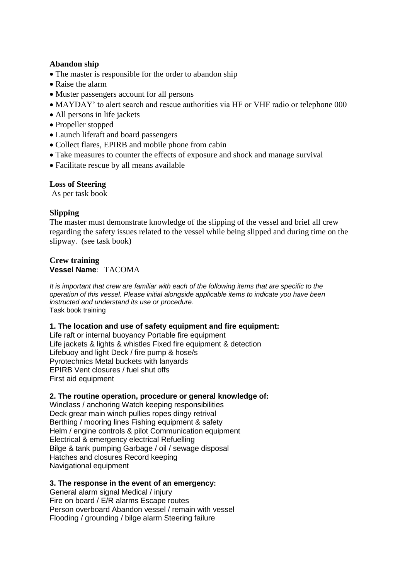#### **Abandon ship**

- The master is responsible for the order to abandon ship
- Raise the alarm
- Muster passengers account for all persons
- MAYDAY' to alert search and rescue authorities via HF or VHF radio or telephone 000
- All persons in life jackets
- Propeller stopped
- Launch liferaft and board passengers
- Collect flares, EPIRB and mobile phone from cabin
- Take measures to counter the effects of exposure and shock and manage survival
- Facilitate rescue by all means available

#### **Loss of Steering**

As per task book

#### **Slipping**

The master must demonstrate knowledge of the slipping of the vessel and brief all crew regarding the safety issues related to the vessel while being slipped and during time on the slipway. (see task book)

#### **Crew training Vessel Name**: TACOMA

*It is important that crew are familiar with each of the following items that are specific to the operation of this vessel. Please initial alongside applicable items to indicate you have been instructed and understand its use or procedure*. Task book training

#### **1. The location and use of safety equipment and fire equipment:**

Life raft or internal buoyancy Portable fire equipment Life jackets & lights & whistles Fixed fire equipment & detection Lifebuoy and light Deck / fire pump & hose/s Pyrotechnics Metal buckets with lanyards EPIRB Vent closures / fuel shut offs First aid equipment

#### **2. The routine operation, procedure or general knowledge of:**

Windlass / anchoring Watch keeping responsibilities Deck grear main winch pullies ropes dingy retrival Berthing / mooring lines Fishing equipment & safety Helm / engine controls & pilot Communication equipment Electrical & emergency electrical Refuelling Bilge & tank pumping Garbage / oil / sewage disposal Hatches and closures Record keeping Navigational equipment

#### **3. The response in the event of an emergency:**

General alarm signal Medical / injury Fire on board / E/R alarms Escape routes Person overboard Abandon vessel / remain with vessel Flooding / grounding / bilge alarm Steering failure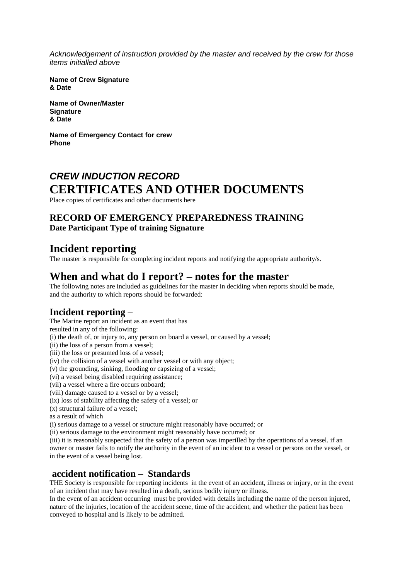*Acknowledgement of instruction provided by the master and received by the crew for those items initialled above*

**Name of Crew Signature & Date**

**Name of Owner/Master Signature & Date**

**Name of Emergency Contact for crew Phone**

# *CREW INDUCTION RECORD* **CERTIFICATES AND OTHER DOCUMENTS**

Place copies of certificates and other documents here

# **RECORD OF EMERGENCY PREPAREDNESS TRAINING**

**Date Participant Type of training Signature**

# **Incident reporting**

The master is responsible for completing incident reports and notifying the appropriate authority/s.

# **When and what do I report? – notes for the master**

The following notes are included as guidelines for the master in deciding when reports should be made, and the authority to which reports should be forwarded:

# **Incident reporting –**

The Marine report an incident as an event that has

resulted in any of the following:

(i) the death of, or injury to, any person on board a vessel, or caused by a vessel;

(ii) the loss of a person from a vessel;

(iii) the loss or presumed loss of a vessel;

(iv) the collision of a vessel with another vessel or with any object;

(v) the grounding, sinking, flooding or capsizing of a vessel;

(vi) a vessel being disabled requiring assistance;

(vii) a vessel where a fire occurs onboard;

(viii) damage caused to a vessel or by a vessel;

(ix) loss of stability affecting the safety of a vessel; or

(x) structural failure of a vessel;

as a result of which

(i) serious damage to a vessel or structure might reasonably have occurred; or

(ii) serious damage to the environment might reasonably have occurred; or

(iii) it is reasonably suspected that the safety of a person was imperilled by the operations of a vessel. if an owner or master fails to notify the authority in the event of an incident to a vessel or persons on the vessel, or in the event of a vessel being lost.

#### **accident notification – Standards**

THE Society is responsible for reporting incidents in the event of an accident, illness or injury, or in the event of an incident that may have resulted in a death, serious bodily injury or illness.

In the event of an accident occurring must be provided with details including the name of the person injured, nature of the injuries, location of the accident scene, time of the accident, and whether the patient has been conveyed to hospital and is likely to be admitted.